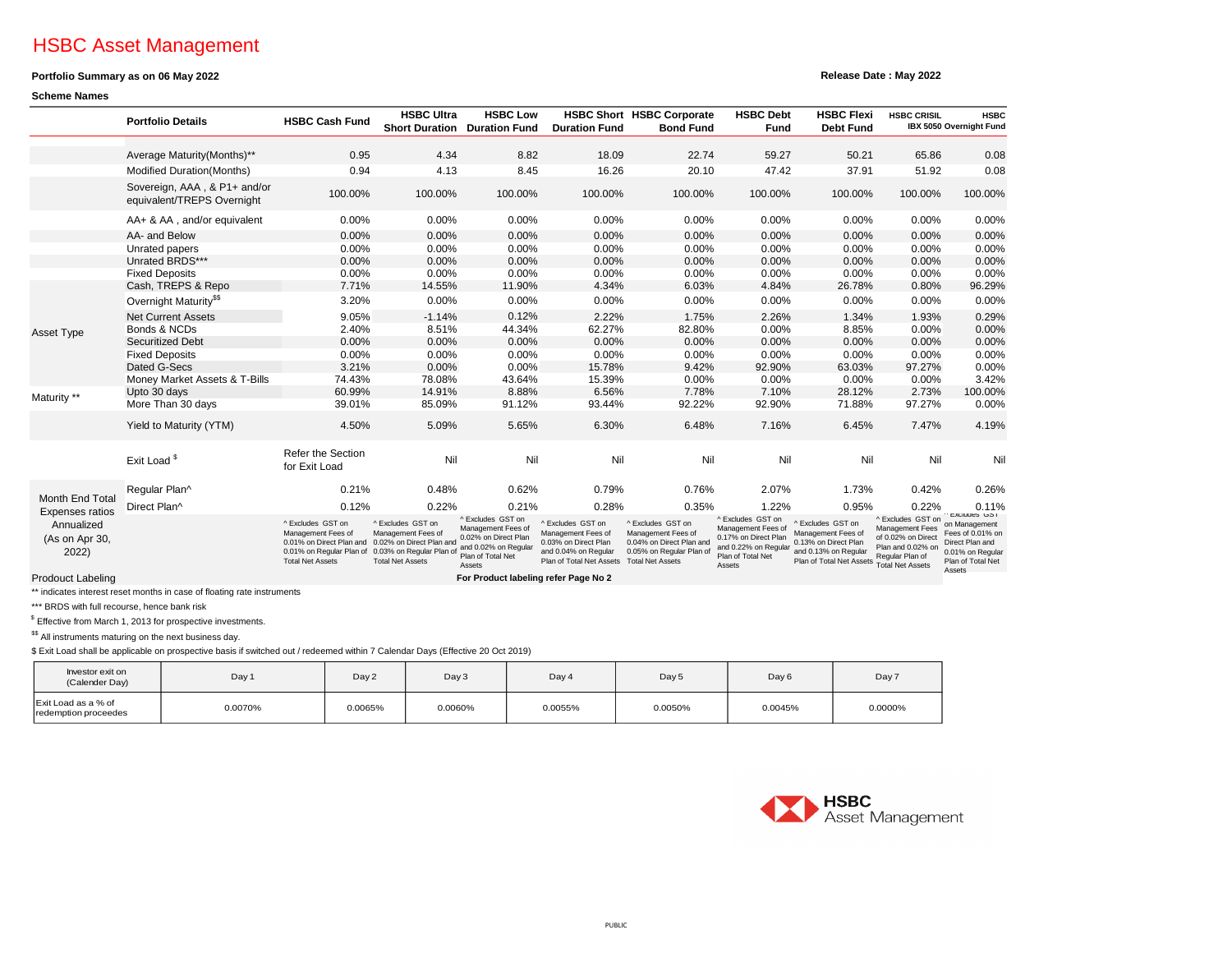# HSBC Asset Management

## **Portfolio Summary as on 06 May 2022**

### **Scheme Names**

|                                                          | <b>Portfolio Details</b>                                   | <b>HSBC Cash Fund</b>                                                                                                      | <b>HSBC Ultra</b>                                                                                                         | <b>HSBC Low</b><br><b>Short Duration Duration Fund</b>                                                                 | <b>Duration Fund</b>                                                                                                | <b>HSBC Short HSBC Corporate</b><br><b>Bond Fund</b>                                                                       | <b>HSBC Debt</b><br><b>Fund</b>                                                                                        | <b>HSBC Flexi</b><br><b>Debt Fund</b>                                                                               | <b>HSBC CRISIL</b>                                                                                                                   | <b>HSBC</b><br><b>IBX 5050 Overnight Fund</b>                                                                          |
|----------------------------------------------------------|------------------------------------------------------------|----------------------------------------------------------------------------------------------------------------------------|---------------------------------------------------------------------------------------------------------------------------|------------------------------------------------------------------------------------------------------------------------|---------------------------------------------------------------------------------------------------------------------|----------------------------------------------------------------------------------------------------------------------------|------------------------------------------------------------------------------------------------------------------------|---------------------------------------------------------------------------------------------------------------------|--------------------------------------------------------------------------------------------------------------------------------------|------------------------------------------------------------------------------------------------------------------------|
|                                                          | Average Maturity(Months)**                                 | 0.95                                                                                                                       | 4.34                                                                                                                      | 8.82                                                                                                                   | 18.09                                                                                                               | 22.74                                                                                                                      | 59.27                                                                                                                  | 50.21                                                                                                               | 65.86                                                                                                                                | 0.08                                                                                                                   |
|                                                          | <b>Modified Duration (Months)</b>                          | 0.94                                                                                                                       | 4.13                                                                                                                      | 8.45                                                                                                                   | 16.26                                                                                                               | 20.10                                                                                                                      | 47.42                                                                                                                  | 37.91                                                                                                               | 51.92                                                                                                                                | 0.08                                                                                                                   |
|                                                          | Sovereign, AAA, & P1+ and/or<br>equivalent/TREPS Overnight | 100.00%                                                                                                                    | 100.00%                                                                                                                   | 100.00%                                                                                                                | 100.00%                                                                                                             | 100.00%                                                                                                                    | 100.00%                                                                                                                | 100.00%                                                                                                             | 100.00%                                                                                                                              | 100.00%                                                                                                                |
|                                                          | AA+ & AA, and/or equivalent                                | 0.00%                                                                                                                      | $0.00\%$                                                                                                                  | $0.00\%$                                                                                                               | 0.00%                                                                                                               | $0.00\%$                                                                                                                   | $0.00\%$                                                                                                               | $0.00\%$                                                                                                            | $0.00\%$                                                                                                                             | $0.00\%$                                                                                                               |
|                                                          | AA- and Below                                              | $0.00\%$                                                                                                                   | $0.00\%$                                                                                                                  | $0.00\%$                                                                                                               | 0.00%                                                                                                               | $0.00\%$                                                                                                                   | $0.00\%$                                                                                                               | $0.00\%$                                                                                                            | $0.00\%$                                                                                                                             | 0.00%                                                                                                                  |
|                                                          | Unrated papers                                             | $0.00\%$                                                                                                                   | $0.00\%$                                                                                                                  | $0.00\%$                                                                                                               | $0.00\%$                                                                                                            | $0.00\%$                                                                                                                   | $0.00\%$                                                                                                               | $0.00\%$                                                                                                            | $0.00\%$                                                                                                                             | 0.00%                                                                                                                  |
|                                                          | Unrated BRDS***                                            | $0.00\%$                                                                                                                   | $0.00\%$                                                                                                                  | $0.00\%$                                                                                                               | $0.00\%$                                                                                                            | $0.00\%$                                                                                                                   | $0.00\%$                                                                                                               | $0.00\%$                                                                                                            | $0.00\%$                                                                                                                             | 0.00%                                                                                                                  |
|                                                          | <b>Fixed Deposits</b>                                      | $0.00\%$                                                                                                                   | $0.00\%$                                                                                                                  | 0.00%                                                                                                                  | 0.00%                                                                                                               | $0.00\%$                                                                                                                   | $0.00\%$                                                                                                               | $0.00\%$                                                                                                            | $0.00\%$                                                                                                                             | 0.00%                                                                                                                  |
|                                                          | Cash, TREPS & Repo                                         | 7.71%                                                                                                                      | 14.55%                                                                                                                    | 11.90%                                                                                                                 | 4.34%                                                                                                               | 6.03%                                                                                                                      | 4.84%                                                                                                                  | 26.78%                                                                                                              | 0.80%                                                                                                                                | 96.29%                                                                                                                 |
|                                                          | Overnight Maturity <sup>\$\$</sup>                         | 3.20%                                                                                                                      | $0.00\%$                                                                                                                  | $0.00\%$                                                                                                               | $0.00\%$                                                                                                            | 0.00%                                                                                                                      | $0.00\%$                                                                                                               | $0.00\%$                                                                                                            | $0.00\%$                                                                                                                             | 0.00%                                                                                                                  |
|                                                          | <b>Net Current Assets</b>                                  | 9.05%                                                                                                                      | $-1.14%$                                                                                                                  | 0.12%                                                                                                                  | 2.22%                                                                                                               | 1.75%                                                                                                                      | 2.26%                                                                                                                  | 1.34%                                                                                                               | 1.93%                                                                                                                                | 0.29%                                                                                                                  |
| Asset Type                                               | Bonds & NCDs                                               | 2.40%                                                                                                                      | 8.51%                                                                                                                     | 44.34%                                                                                                                 | 62.27%                                                                                                              | 82.80%                                                                                                                     | $0.00\%$                                                                                                               | 8.85%                                                                                                               | $0.00\%$                                                                                                                             | 0.00%                                                                                                                  |
|                                                          | <b>Securitized Debt</b>                                    | 0.00%                                                                                                                      | $0.00\%$                                                                                                                  | $0.00\%$                                                                                                               | $0.00\%$                                                                                                            | $0.00\%$                                                                                                                   | $0.00\%$                                                                                                               | $0.00\%$                                                                                                            | $0.00\%$                                                                                                                             | 0.00%                                                                                                                  |
|                                                          | <b>Fixed Deposits</b>                                      | 0.00%                                                                                                                      | 0.00%                                                                                                                     | 0.00%                                                                                                                  | $0.00\%$                                                                                                            | $0.00\%$                                                                                                                   | $0.00\%$                                                                                                               | $0.00\%$                                                                                                            | $0.00\%$                                                                                                                             | 0.00%                                                                                                                  |
|                                                          | Dated G-Secs                                               | 3.21%                                                                                                                      | $0.00\%$                                                                                                                  | 0.00%                                                                                                                  | 15.78%                                                                                                              | 9.42%                                                                                                                      | 92.90%                                                                                                                 | 63.03%                                                                                                              | 97.27%                                                                                                                               | 0.00%                                                                                                                  |
|                                                          | Money Market Assets & T-Bills                              | 74.43%                                                                                                                     | 78.08%                                                                                                                    | 43.64%                                                                                                                 | 15.39%                                                                                                              | $0.00\%$                                                                                                                   | $0.00\%$                                                                                                               | $0.00\%$                                                                                                            | $0.00\%$                                                                                                                             | 3.42%                                                                                                                  |
| Maturity **                                              | Upto 30 days                                               | 60.99%                                                                                                                     | 14.91%                                                                                                                    | 8.88%                                                                                                                  | 6.56%                                                                                                               | 7.78%                                                                                                                      | 7.10%                                                                                                                  | 28.12%                                                                                                              | 2.73%                                                                                                                                | 100.00%                                                                                                                |
|                                                          | More Than 30 days                                          | 39.01%                                                                                                                     | 85.09%                                                                                                                    | 91.12%                                                                                                                 | 93.44%                                                                                                              | 92.22%                                                                                                                     | 92.90%                                                                                                                 | 71.88%                                                                                                              | 97.27%                                                                                                                               | 0.00%                                                                                                                  |
|                                                          | Yield to Maturity (YTM)                                    | 4.50%                                                                                                                      | 5.09%                                                                                                                     | 5.65%                                                                                                                  | 6.30%                                                                                                               | 6.48%                                                                                                                      | 7.16%                                                                                                                  | 6.45%                                                                                                               | 7.47%                                                                                                                                | 4.19%                                                                                                                  |
|                                                          | Exit Load <sup>\$</sup>                                    | <b>Refer the Section</b><br>for Exit Load                                                                                  | <b>Nil</b>                                                                                                                | Nil                                                                                                                    | Nil                                                                                                                 | Nil                                                                                                                        | <b>Nil</b>                                                                                                             | Nil                                                                                                                 | <b>Nil</b>                                                                                                                           | Nil                                                                                                                    |
|                                                          | Regular Plan^                                              | 0.21%                                                                                                                      | 0.48%                                                                                                                     | 0.62%                                                                                                                  | 0.79%                                                                                                               | 0.76%                                                                                                                      | 2.07%                                                                                                                  | 1.73%                                                                                                               | 0.42%                                                                                                                                | 0.26%                                                                                                                  |
| <b>Month End Total</b>                                   | Direct Plan^                                               | 0.12%                                                                                                                      | 0.22%                                                                                                                     | 0.21%                                                                                                                  | 0.28%                                                                                                               | 0.35%                                                                                                                      | 1.22%                                                                                                                  | 0.95%                                                                                                               | 0.22%                                                                                                                                | 0.11%                                                                                                                  |
| Expenses ratios<br>Annualized<br>(As on Apr 30,<br>2022) |                                                            | ^ Excludes GST on<br>Management Fees of<br>0.01% on Direct Plan and<br>0.01% on Regular Plan of<br><b>Total Net Assets</b> | ^ Excludes GST on<br>Management Fees of<br>0.02% on Direct Plan and<br>0.03% on Regular Plan o<br><b>Total Net Assets</b> | ^ Excludes GST on<br>Management Fees of<br>0.02% on Direct Plan<br>and 0.02% on Regular<br>Plan of Total Net<br>Assets | ^ Excludes GST on<br>Management Fees of<br>0.03% on Direct Plan<br>and 0.04% on Regular<br>Plan of Total Net Assets | ^ Excludes GST on<br>Management Fees of<br>0.04% on Direct Plan and<br>0.05% on Regular Plan of<br><b>Total Net Assets</b> | ^ Excludes GST on<br>Management Fees of<br>0.17% on Direct Plan<br>and 0.22% on Regular<br>Plan of Total Net<br>Assets | ^ Excludes GST on<br>Management Fees of<br>0.13% on Direct Plan<br>and 0.13% on Regular<br>Plan of Total Net Assets | ^ Excludes GST on<br><b>Management Fees</b><br>of 0.02% on Direct<br>Plan and 0.02% or<br>Regular Plan of<br><b>Total Net Assets</b> | <b>" EXCIUGES USI</b><br>on Management<br>Fees of 0.01% on<br>Direct Plan and<br>0.01% on Regular<br>Plan of Total Net |
| <b>Prodouct Labeling</b>                                 |                                                            |                                                                                                                            |                                                                                                                           | For Product labeling refer Page No 2                                                                                   |                                                                                                                     |                                                                                                                            |                                                                                                                        |                                                                                                                     |                                                                                                                                      | Accatc                                                                                                                 |

Prodouct Labeling

\*\* indicates interest reset months in case of floating rate instruments

\*\*\* BRDS with full recourse, hence bank risk

 $$$  Effective from March 1, 2013 for prospective investments.

 $$^{\$\$}$  All instruments maturing on the next business day.

\$ Exit Load shall be applicable on prospective basis if switched out / redeemed within 7 Calendar Days (Effective 20 Oct 2019)

## **Release Date : May 2022**



| Investor exit on<br>(Calender Day)          | Day 1   | Day 2   | Day 3   | Day 4   | Day 5   | Day 6   | Day 7   |
|---------------------------------------------|---------|---------|---------|---------|---------|---------|---------|
| Exit Load as a % of<br>redemption proceedes | 0.0070% | 0.0065% | 0.0060% | 0.0055% | 0.0050% | 0.0045% | 0.0000% |